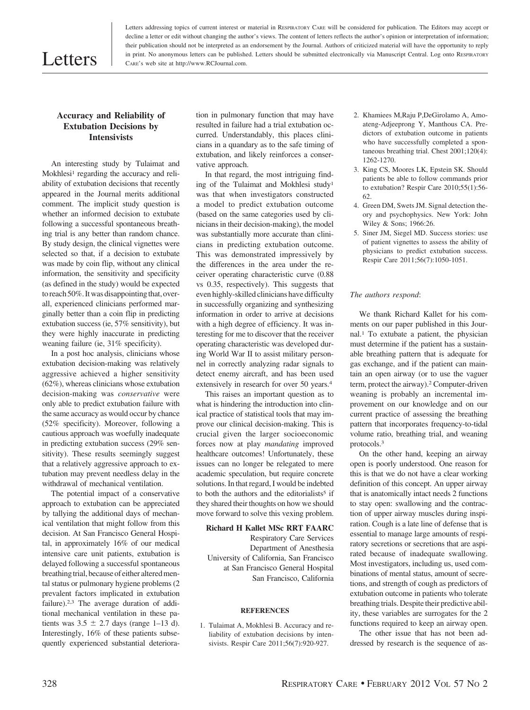# Letters

Letters addressing topics of current interest or material in RESPIRATORY CARE will be considered for publication. The Editors may accept or decline a letter or edit without changing the author's views. The content of letters reflects the author's opinion or interpretation of information; their publication should not be interpreted as an endorsement by the Journal. Authors of criticized material will have the opportunity to reply in print. No anonymous letters can be published. Letters should be submitted electronically via Manuscript Central. Log onto RESPIRATORY CARE's web site at http://www.RCJournal.com.

# **Accuracy and Reliability of Extubation Decisions by Intensivists**

An interesting study by Tulaimat and Mokhlesi<sup>1</sup> regarding the accuracy and reliability of extubation decisions that recently appeared in the Journal merits additional comment. The implicit study question is whether an informed decision to extubate following a successful spontaneous breathing trial is any better than random chance. By study design, the clinical vignettes were selected so that, if a decision to extubate was made by coin flip, without any clinical information, the sensitivity and specificity (as defined in the study) would be expected to reach 50%. It was disappointing that, overall, experienced clinicians performed marginally better than a coin flip in predicting extubation success (ie, 57% sensitivity), but they were highly inaccurate in predicting weaning failure (ie, 31% specificity).

In a post hoc analysis, clinicians whose extubation decision-making was relatively aggressive achieved a higher sensitivity (62%), whereas clinicians whose extubation decision-making was *conservative* were only able to predict extubation failure with the same accuracy as would occur by chance (52% specificity). Moreover, following a cautious approach was woefully inadequate in predicting extubation success (29% sensitivity). These results seemingly suggest that a relatively aggressive approach to extubation may prevent needless delay in the withdrawal of mechanical ventilation.

The potential impact of a conservative approach to extubation can be appreciated by tallying the additional days of mechanical ventilation that might follow from this decision. At San Francisco General Hospital, in approximately 16% of our medical intensive care unit patients, extubation is delayed following a successful spontaneous breathing trial, because of either altered mental status or pulmonary hygiene problems (2 prevalent factors implicated in extubation failure).2,3 The average duration of additional mechanical ventilation in these patients was  $3.5 \pm 2.7$  days (range 1–13 d). Interestingly, 16% of these patients subsequently experienced substantial deterioration in pulmonary function that may have resulted in failure had a trial extubation occurred. Understandably, this places clinicians in a quandary as to the safe timing of extubation, and likely reinforces a conservative approach.

In that regard, the most intriguing finding of the Tulaimat and Mokhlesi study1 was that when investigators constructed a model to predict extubation outcome (based on the same categories used by clinicians in their decision-making), the model was substantially more accurate than clinicians in predicting extubation outcome. This was demonstrated impressively by the differences in the area under the receiver operating characteristic curve (0.88 vs 0.35, respectively). This suggests that even highly-skilled clinicians have difficulty in successfully organizing and synthesizing information in order to arrive at decisions with a high degree of efficiency. It was interesting for me to discover that the receiver operating characteristic was developed during World War II to assist military personnel in correctly analyzing radar signals to detect enemy aircraft, and has been used extensively in research for over 50 years.4

This raises an important question as to what is hindering the introduction into clinical practice of statistical tools that may improve our clinical decision-making. This is crucial given the larger socioeconomic forces now at play *mandating* improved healthcare outcomes! Unfortunately, these issues can no longer be relegated to mere academic speculation, but require concrete solutions. In that regard, I would be indebted to both the authors and the editorialists<sup>5</sup> if they shared their thoughts on how we should move forward to solve this vexing problem.

# **Richard H Kallet MSc RRT FAARC**

Respiratory Care Services Department of Anesthesia University of California, San Francisco at San Francisco General Hospital San Francisco, California

### **REFERENCES**

1. Tulaimat A, Mokhlesi B. Accuracy and reliability of extubation decisions by intensivists. Respir Care 2011;56(7):920-927.

- 2. Khamiees M,Raju P,DeGirolamo A, Amoateng-Adjeeprong Y, Manthous CA. Predictors of extubation outcome in patients who have successfully completed a spontaneous breathing trial. Chest 2001;120(4): 1262-1270.
- 3. King CS, Moores LK, Epstein SK. Should patients be able to follow commands prior to extubation? Respir Care 2010;55(1):56- 62.
- 4. Green DM, Swets JM. Signal detection theory and psychophysics. New York: John Wiley & Sons; 1966:26.
- 5. Siner JM, Siegel MD. Success stories: use of patient vignettes to assess the ability of physicians to predict extubation success. Respir Care 2011;56(7):1050-1051.

#### *The authors respond*:

We thank Richard Kallet for his comments on our paper published in this Journal.1 To extubate a patient, the physician must determine if the patient has a sustainable breathing pattern that is adequate for gas exchange, and if the patient can maintain an open airway (or to use the vaguer term, protect the airway).2 Computer-driven weaning is probably an incremental improvement on our knowledge and on our current practice of assessing the breathing pattern that incorporates frequency-to-tidal volume ratio, breathing trial, and weaning protocols.3

On the other hand, keeping an airway open is poorly understood. One reason for this is that we do not have a clear working definition of this concept. An upper airway that is anatomically intact needs 2 functions to stay open: swallowing and the contraction of upper airway muscles during inspiration. Cough is a late line of defense that is essential to manage large amounts of respiratory secretions or secretions that are aspirated because of inadequate swallowing. Most investigators, including us, used combinations of mental status, amount of secretions, and strength of cough as predictors of extubation outcome in patients who tolerate breathing trials. Despite their predictive ability, these variables are surrogates for the 2 functions required to keep an airway open.

The other issue that has not been addressed by research is the sequence of as